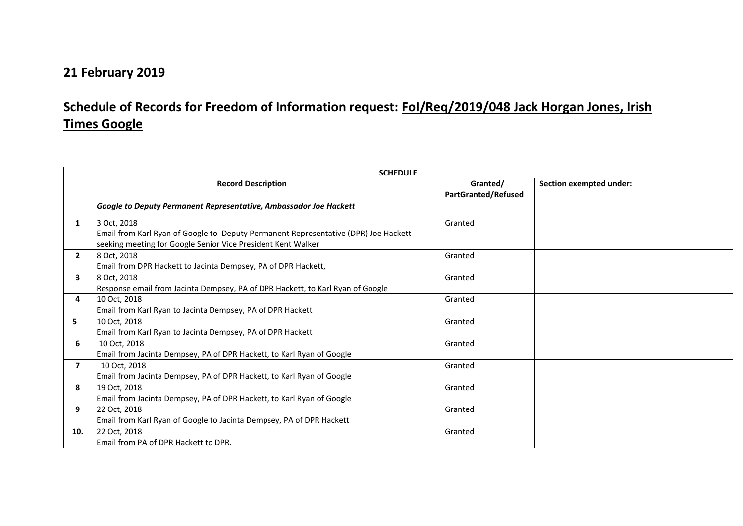## **21 February 2019**

## **Schedule of Records for Freedom of Information request: FoI/Req/2019/048 Jack Horgan Jones, Irish Times Google**

|                           | <b>SCHEDULE</b>                                                                     |                                        |                                |  |  |
|---------------------------|-------------------------------------------------------------------------------------|----------------------------------------|--------------------------------|--|--|
| <b>Record Description</b> |                                                                                     | Granted/<br><b>PartGranted/Refused</b> | <b>Section exempted under:</b> |  |  |
|                           | Google to Deputy Permanent Representative, Ambassador Joe Hackett                   |                                        |                                |  |  |
| 1                         | 3 Oct, 2018                                                                         | Granted                                |                                |  |  |
|                           | Email from Karl Ryan of Google to Deputy Permanent Representative (DPR) Joe Hackett |                                        |                                |  |  |
|                           | seeking meeting for Google Senior Vice President Kent Walker                        |                                        |                                |  |  |
| $\overline{2}$            | 8 Oct, 2018                                                                         | Granted                                |                                |  |  |
|                           | Email from DPR Hackett to Jacinta Dempsey, PA of DPR Hackett,                       |                                        |                                |  |  |
| $\overline{\mathbf{3}}$   | 8 Oct, 2018                                                                         | Granted                                |                                |  |  |
|                           | Response email from Jacinta Dempsey, PA of DPR Hackett, to Karl Ryan of Google      |                                        |                                |  |  |
| 4                         | 10 Oct, 2018                                                                        | Granted                                |                                |  |  |
|                           | Email from Karl Ryan to Jacinta Dempsey, PA of DPR Hackett                          |                                        |                                |  |  |
| 5                         | 10 Oct, 2018                                                                        | Granted                                |                                |  |  |
|                           | Email from Karl Ryan to Jacinta Dempsey, PA of DPR Hackett                          |                                        |                                |  |  |
| 6                         | 10 Oct, 2018                                                                        | Granted                                |                                |  |  |
|                           | Email from Jacinta Dempsey, PA of DPR Hackett, to Karl Ryan of Google               |                                        |                                |  |  |
| $\overline{7}$            | 10 Oct, 2018                                                                        | Granted                                |                                |  |  |
|                           | Email from Jacinta Dempsey, PA of DPR Hackett, to Karl Ryan of Google               |                                        |                                |  |  |
| 8                         | 19 Oct, 2018                                                                        | Granted                                |                                |  |  |
|                           | Email from Jacinta Dempsey, PA of DPR Hackett, to Karl Ryan of Google               |                                        |                                |  |  |
| 9                         | 22 Oct, 2018                                                                        | Granted                                |                                |  |  |
|                           | Email from Karl Ryan of Google to Jacinta Dempsey, PA of DPR Hackett                |                                        |                                |  |  |
| 10.                       | 22 Oct, 2018                                                                        | Granted                                |                                |  |  |
|                           | Email from PA of DPR Hackett to DPR.                                                |                                        |                                |  |  |